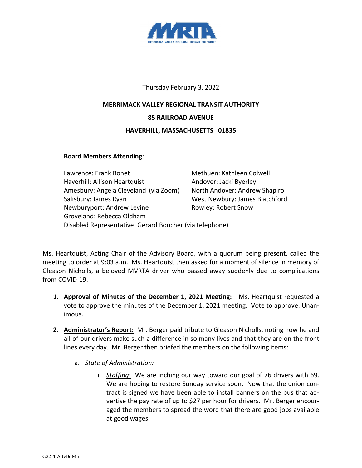

## Thursday February 3, 2022

## **MERRIMACK VALLEY REGIONAL TRANSIT AUTHORITY 85 RAILROAD AVENUE HAVERHILL, MASSACHUSETTS 01835**

## **Board Members Attending**:

Lawrence: Frank Bonet Methuen: Kathleen Colwell Haverhill: Allison Heartquist Andover: Jacki Byerley Amesbury: Angela Cleveland (via Zoom) North Andover: Andrew Shapiro Salisbury: James Ryan West Newbury: James Blatchford Newburyport: Andrew Levine Rowley: Robert Snow Groveland: Rebecca Oldham Disabled Representative: Gerard Boucher (via telephone)

Ms. Heartquist, Acting Chair of the Advisory Board, with a quorum being present, called the meeting to order at 9:03 a.m. Ms. Heartquist then asked for a moment of silence in memory of Gleason Nicholls, a beloved MVRTA driver who passed away suddenly due to complications from COVID-19.

- **1. Approval of Minutes of the December 1, 2021 Meeting:** Ms. Heartquist requested a vote to approve the minutes of the December 1, 2021 meeting. Vote to approve: Unanimous.
- **2. Administrator's Report:** Mr. Berger paid tribute to Gleason Nicholls, noting how he and all of our drivers make such a difference in so many lives and that they are on the front lines every day. Mr. Berger then briefed the members on the following items:
	- a. *State of Administration:*
		- i. *Staffing*: We are inching our way toward our goal of 76 drivers with 69. We are hoping to restore Sunday service soon. Now that the union contract is signed we have been able to install banners on the bus that advertise the pay rate of up to \$27 per hour for drivers. Mr. Berger encouraged the members to spread the word that there are good jobs available at good wages.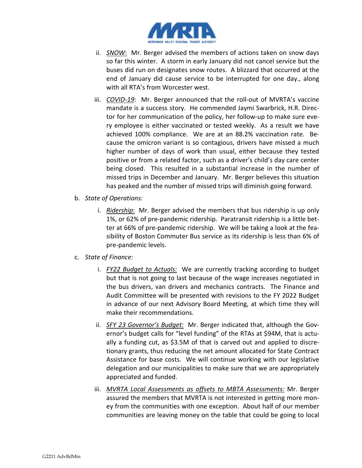

- ii. *SNOW*: Mr. Berger advised the members of actions taken on snow days so far this winter. A storm in early January did not cancel service but the buses did run on designates snow routes. A blizzard that occurred at the end of January did cause service to be interrupted for one day., along with all RTA's from Worcester west.
- iii. *COVID-19*: Mr. Berger announced that the roll-out of MVRTA's vaccine mandate is a success story. He commended Jaymi Swarbrick, H.R. Director for her communication of the policy, her follow-up to make sure every employee is either vaccinated or tested weekly. As a result we have achieved 100% compliance. We are at an 88.2% vaccination rate. Because the omicron variant is so contagious, drivers have missed a much higher number of days of work than usual, either because they tested positive or from a related factor, such as a driver's child's day care center being closed. This resulted in a substantial increase in the number of missed trips in December and January. Mr. Berger believes this situation has peaked and the number of missed trips will diminish going forward.
- b. *State of Operations:*
	- i. *Ridership*: Mr. Berger advised the members that bus ridership is up only 1%, or 62% of pre-pandemic ridership. Paratransit ridership is a little better at 66% of pre-pandemic ridership. We will be taking a look at the feasibility of Boston Commuter Bus service as its ridership is less than 6% of pre-pandemic levels.
- c. *State of Finance:*
	- i. *FY22 Budget to Actuals:* We are currently tracking according to budget but that is not going to last because of the wage increases negotiated in the bus drivers, van drivers and mechanics contracts. The Finance and Audit Committee will be presented with revisions to the FY 2022 Budget in advance of our next Advisory Board Meeting, at which time they will make their recommendations.
	- ii. *SFY 23 Governor's Budget:* Mr. Berger indicated that, although the Governor's budget calls for "level funding" of the RTAs at \$94M, that is actually a funding cut, as \$3.5M of that is carved out and applied to discretionary grants, thus reducing the net amount allocated for State Contract Assistance for base costs. We will continue working with our legislative delegation and our municipalities to make sure that we are appropriately appreciated and funded.
	- iii. *MVRTA Local Assessments as offsets to MBTA Assessments:* Mr. Berger assured the members that MVRTA is not interested in getting more money from the communities with one exception. About half of our member communities are leaving money on the table that could be going to local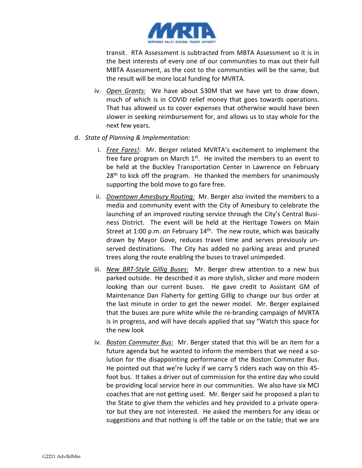

transit. RTA Assessment is subtracted from MBTA Assessment so it is in the best interests of every one of our communities to max out their full MBTA Assessment, as the cost to the communities will be the same, but the result will be more local funding for MVRTA.

- iv. *Open Grants:* We have about \$30M that we have yet to draw down, much of which is in COVID relief money that goes towards operations. That has allowed us to cover expenses that otherwise would have been slower in seeking reimbursement for, and allows us to stay whole for the next few years.
- d. *State of Planning & Implementation:*
	- i. *Free Fares!*: Mr. Berger related MVRTA's excitement to implement the free fare program on March  $1<sup>st</sup>$ . He invited the members to an event to be held at the Buckley Transportation Center in Lawrence on February  $28<sup>th</sup>$  to kick off the program. He thanked the members for unanimously supporting the bold move to go fare free.
	- ii. *Downtown Amesbury Routing:* Mr. Berger also invited the members to a media and community event with the City of Amesbury to celebrate the launching of an improved routing service through the City's Central Business District. The event will be held at the Heritage Towers on Main Street at 1:00 p.m. on February  $14<sup>th</sup>$ . The new route, which was basically drawn by Mayor Gove, reduces travel time and serves previously unserved destinations. The City has added no parking areas and pruned trees along the route enabling the buses to travel unimpeded.
	- iii. *New BRT-Style Gillig Buses:* Mr. Berger drew attention to a new bus parked outside. He described it as more stylish, slicker and more modern looking than our current buses. He gave credit to Assistant GM of Maintenance Dan Flaherty for getting Gillig to change our bus order at the last minute in order to get the newer model. Mr. Berger explained that the buses are pure white while the re-branding campaign of MVRTA is in progress, and will have decals applied that say "Watch this space for the new look
	- iv. *Boston Commuter Bus:* Mr. Berger stated that this will be an item for a future agenda but he wanted to inform the members that we need a solution for the disappointing performance of the Boston Commuter Bus. He pointed out that we're lucky if we carry 5 riders each way on this 45 foot bus. It takes a driver out of commission for the entire day who could be providing local service here in our communities. We also have six MCI coaches that are not getting used. Mr. Berger said he proposed a plan to the State to give them the vehicles and hey provided to a private operator but they are not interested. He asked the members for any ideas or suggestions and that nothing is off the table or on the table; that we are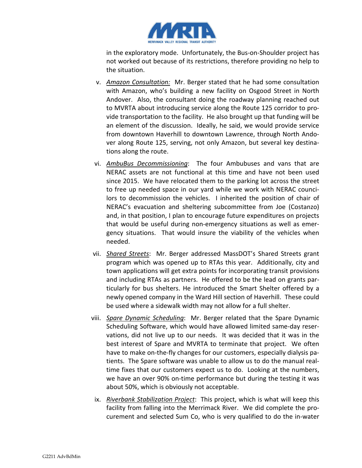

in the exploratory mode. Unfortunately, the Bus-on-Shoulder project has not worked out because of its restrictions, therefore providing no help to the situation.

- v. *Amazon Consultation:* Mr. Berger stated that he had some consultation with Amazon, who's building a new facility on Osgood Street in North Andover. Also, the consultant doing the roadway planning reached out to MVRTA about introducing service along the Route 125 corridor to provide transportation to the facility. He also brought up that funding will be an element of the discussion. Ideally, he said, we would provide service from downtown Haverhill to downtown Lawrence, through North Andover along Route 125, serving, not only Amazon, but several key destinations along the route.
- vi. *AmbuBus Decommissioning*: The four Ambubuses and vans that are NERAC assets are not functional at this time and have not been used since 2015. We have relocated them to the parking lot across the street to free up needed space in our yard while we work with NERAC councilors to decommission the vehicles. I inherited the position of chair of NERAC's evacuation and sheltering subcommittee from Joe (Costanzo) and, in that position, I plan to encourage future expenditures on projects that would be useful during non-emergency situations as well as emergency situations. That would insure the viability of the vehicles when needed.
- vii. *Shared Streets*: Mr. Berger addressed MassDOT's Shared Streets grant program which was opened up to RTAs this year. Additionally, city and town applications will get extra points for incorporating transit provisions and including RTAs as partners. He offered to be the lead on grants particularly for bus shelters. He introduced the Smart Shelter offered by a newly opened company in the Ward Hill section of Haverhill. These could be used where a sidewalk width may not allow for a full shelter.
- viii. *Spare Dynamic Scheduling*: Mr. Berger related that the Spare Dynamic Scheduling Software, which would have allowed limited same-day reservations, did not live up to our needs. It was decided that it was in the best interest of Spare and MVRTA to terminate that project. We often have to make on-the-fly changes for our customers, especially dialysis patients. The Spare software was unable to allow us to do the manual realtime fixes that our customers expect us to do. Looking at the numbers, we have an over 90% on-time performance but during the testing it was about 50%, which is obviously not acceptable.
- ix. *Riverbank Stabilization Project*: This project, which is what will keep this facility from falling into the Merrimack River. We did complete the procurement and selected Sum Co, who is very qualified to do the in-water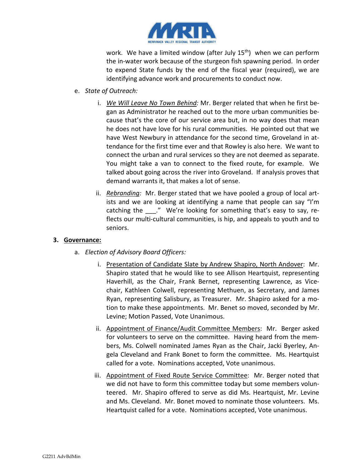

work. We have a limited window (after July  $15<sup>th</sup>$ ) when we can perform the in-water work because of the sturgeon fish spawning period. In order to expend State funds by the end of the fiscal year (required), we are identifying advance work and procurements to conduct now.

- e. *State of Outreach:*
	- i. *We Will Leave No Town Behind:* Mr. Berger related that when he first began as Administrator he reached out to the more urban communities because that's the core of our service area but, in no way does that mean he does not have love for his rural communities. He pointed out that we have West Newbury in attendance for the second time, Groveland in attendance for the first time ever and that Rowley is also here. We want to connect the urban and rural services so they are not deemed as separate. You might take a van to connect to the fixed route, for example. We talked about going across the river into Groveland. If analysis proves that demand warrants it, that makes a lot of sense.
	- ii. *Rebranding:* Mr. Berger stated that we have pooled a group of local artists and we are looking at identifying a name that people can say "I'm catching the "." We're looking for something that's easy to say, reflects our multi-cultural communities, is hip, and appeals to youth and to seniors.

## **3. Governance:**

- a. *Election of Advisory Board Officers:*
	- i. Presentation of Candidate Slate by Andrew Shapiro, North Andover: Mr. Shapiro stated that he would like to see Allison Heartquist, representing Haverhill, as the Chair, Frank Bernet, representing Lawrence, as Vicechair, Kathleen Colwell, representing Methuen, as Secretary, and James Ryan, representing Salisbury, as Treasurer. Mr. Shapiro asked for a motion to make these appointments. Mr. Benet so moved, seconded by Mr. Levine; Motion Passed, Vote Unanimous.
	- ii. Appointment of Finance/Audit Committee Members: Mr. Berger asked for volunteers to serve on the committee. Having heard from the members, Ms. Colwell nominated James Ryan as the Chair, Jacki Byerley, Angela Cleveland and Frank Bonet to form the committee. Ms. Heartquist called for a vote. Nominations accepted, Vote unanimous.
	- iii. Appointment of Fixed Route Service Committee: Mr. Berger noted that we did not have to form this committee today but some members volunteered. Mr. Shapiro offered to serve as did Ms. Heartquist, Mr. Levine and Ms. Cleveland. Mr. Bonet moved to nominate those volunteers. Ms. Heartquist called for a vote. Nominations accepted, Vote unanimous.